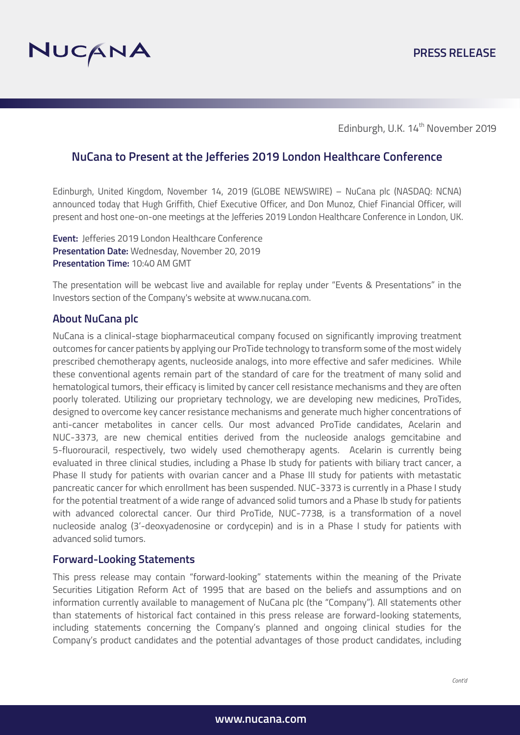

Edinburgh, U.K. 14<sup>th</sup> November 2019

# **NuCana to Present at the Jefferies 2019 London Healthcare Conference**

Edinburgh, United Kingdom, November 14, 2019 (GLOBE NEWSWIRE) – NuCana plc (NASDAQ: NCNA) announced today that Hugh Griffith, Chief Executive Officer, and Don Munoz, Chief Financial Officer, will present and host one-on-one meetings at the Jefferies 2019 London Healthcare Conference in London, UK.

**Event:** Jefferies 2019 London Healthcare Conference **Presentation Date:** Wednesday, November 20, 2019 **Presentation Time:** 10:40 AM GMT

The presentation will be webcast live and available for replay under "Events & Presentations" in the Investors section of the Company's website at www.nucana.com.

### **About NuCana plc**

NuCana is a clinical-stage biopharmaceutical company focused on significantly improving treatment outcomes for cancer patients by applying our ProTide technology to transform some of the most widely prescribed chemotherapy agents, nucleoside analogs, into more effective and safer medicines. While these conventional agents remain part of the standard of care for the treatment of many solid and hematological tumors, their efficacy is limited by cancer cell resistance mechanisms and they are often poorly tolerated. Utilizing our proprietary technology, we are developing new medicines, ProTides, designed to overcome key cancer resistance mechanisms and generate much higher concentrations of anti-cancer metabolites in cancer cells. Our most advanced ProTide candidates, Acelarin and NUC-3373, are new chemical entities derived from the nucleoside analogs gemcitabine and 5-fluorouracil, respectively, two widely used chemotherapy agents. Acelarin is currently being evaluated in three clinical studies, including a Phase Ib study for patients with biliary tract cancer, a Phase II study for patients with ovarian cancer and a Phase III study for patients with metastatic pancreatic cancer for which enrollment has been suspended. NUC-3373 is currently in a Phase I study for the potential treatment of a wide range of advanced solid tumors and a Phase Ib study for patients with advanced colorectal cancer. Our third ProTide, NUC-7738, is a transformation of a novel nucleoside analog (3'-deoxyadenosine or cordycepin) and is in a Phase I study for patients with advanced solid tumors.

## **Forward-Looking Statements**

This press release may contain "forward-looking" statements within the meaning of the Private Securities Litigation Reform Act of 1995 that are based on the beliefs and assumptions and on information currently available to management of NuCana plc (the "Company"). All statements other than statements of historical fact contained in this press release are forward-looking statements, including statements concerning the Company's planned and ongoing clinical studies for the Company's product candidates and the potential advantages of those product candidates, including